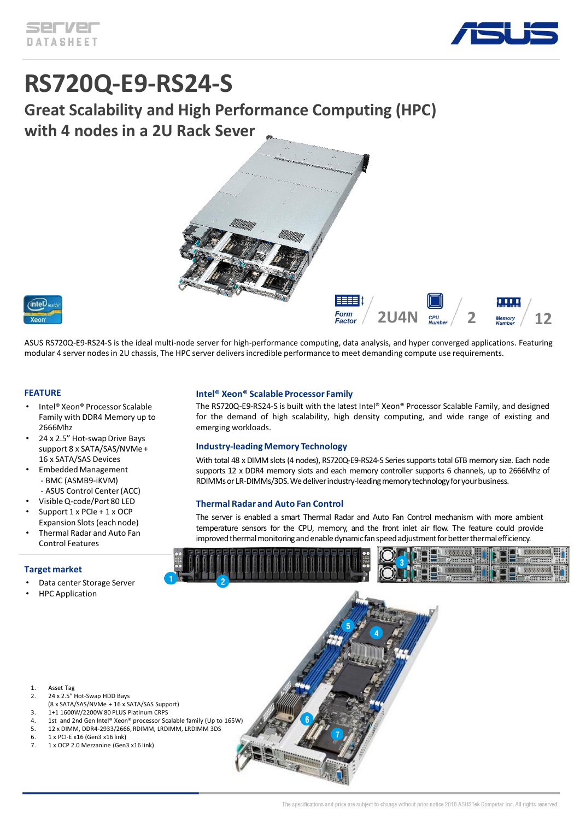

# **RS720Q-E9-RS24-S**

**Great Scalability and High Performance Computing (HPC) with 4 nodes in a 2U Rack Sever**





ASUS RS720Q-E9-RS24-S is the ideal multi-node server for high-performance computing, data analysis, and hyper converged applications. Featuring modular 4 server nodes in 2U chassis, The HPC server delivers incredible performance to meet demanding compute use requirements.

#### **FEATURE**

- Intel® Xeon® Processor Scalable Family with DDR4 Memory up to 2666Mhz
- 24 x 2.5" Hot-swap Drive Bays support 8 x SATA/SAS/NVMe + 16 x SATA/SAS Devices
- Embedded Management - BMC (ASMB9-iKVM)
- ASUS Control Center (ACC)
- Visible Q-code/Port 80 LED
- Support 1 x PCIe + 1 x OCP Expansion Slots (each node)
- Thermal Radar and Auto Fan Control Features

#### **Target market**

- Data center Storage Server
- HPC Application

#### **Intel® Xeon® Scalable Processor Family**

The RS720Q-E9-RS24-S is built with the latest Intel® Xeon® Processor Scalable Family, and designed for the demand of high scalability, high density computing, and wide range of existing and emerging workloads.

#### **Industry-leading Memory Technology**

With total 48 x DIMM slots (4 nodes), RS720Q-E9-RS24-S Series supports total 6TB memory size. Each node supports 12 x DDR4 memory slots and each memory controller supports 6 channels, up to 2666Mhz of RDIMMs or LR-DIMMs/3DS. We deliver industry-leading memory technology for your business.

#### **Thermal Radar and Auto Fan Control**

The server is enabled a smart Thermal Radar and Auto Fan Control mechanism with more ambient temperature sensors for the CPU, memory, and the front inlet air flow. The feature could provide improved thermal monitoring and enable dynamic fan speed adjustment for better thermal efficiency.



- 2. 24 x 2.5" Hot-Swap HDD Bays (8 x SATA/SAS/NVMe + 16 x SATA/SAS Support)
- 3. 1+1 1600W/2200W 80 PLUS Platinum CRPS
- 4. 1st and 2nd Gen Intel® Xeon® processor Scalable family (Up to 165W)
- 5. 12 x DIMM, DDR4-2933/2666, RDIMM, LRDIMM, LRDIMM 3DS
- 6. 1 x PCI-E x16 (Gen3 x16 link)
- 7. 1 x OCP 2.0 Mezzanine (Gen3 x16 link)